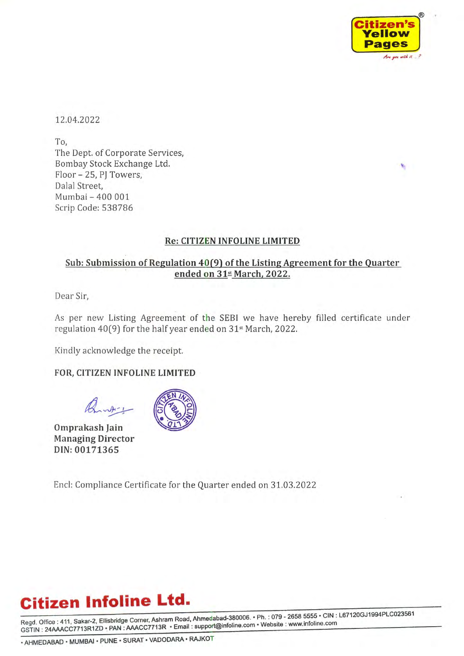

12.04.2022

To, The Dept. of Corporate Services, Bombay Stock Exchange Ltd. Floor - 25, PJ Towers, Dalal Street, Mumbai - 400 001 Scrip Code: 538786

#### Re: CITIZEN INFOLINE LIMITED

### <u>Sub: Submission of Regulation 40(9) of the Listing Agreement for the Quarter</u> ended on  $31$ <sup>st</sup> March, 2022.

Dear Sir,

As per new Listing Agreement of the SEBI we have hereby filled certificate under regulation 40(9) for the half year ended on 31\* March, 2022.

Kindly acknowledge the receipt.

### FOR, CITIZEN INFOLINE LIMITED

Omprakash Jain Managing Director DIN: 00171365



Encl: Compliance Certificate for the Quarter ended on 31.03.2022

## Citizen Infoline Ltd.

Regd. Office : 411, Sakar-2, Ellisbridge Corner, Ashram Road, Ahmedabad-380006. · Ph. : 079 - 2658 5555 · CIN : L67120GJ1994PLC023561 GSTIN: 24AAACC7713R1ZD · PAN: AAACC7713R · Email: support@infoline.com · Website: www.infoline.com